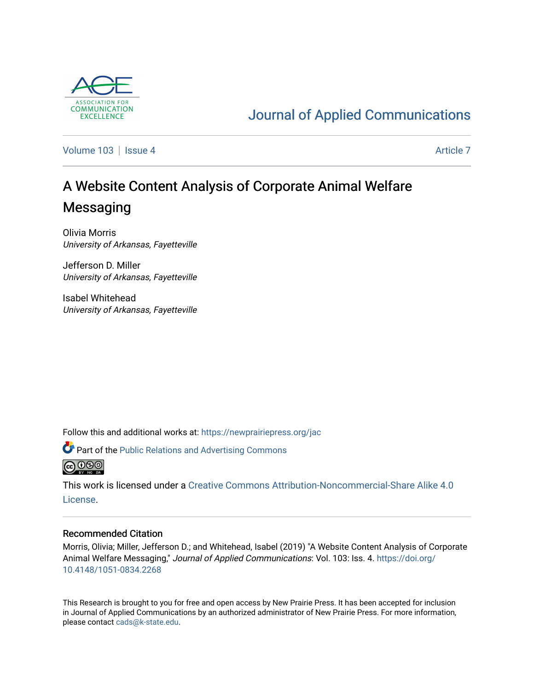

# [Journal of Applied Communications](https://newprairiepress.org/jac)

[Volume 103](https://newprairiepress.org/jac/vol103) | [Issue 4](https://newprairiepress.org/jac/vol103/iss4) [Article 7](https://newprairiepress.org/jac/vol103/iss4/7) Article 7

# A Website Content Analysis of Corporate Animal Welfare **Messaging**

Olivia Morris University of Arkansas, Fayetteville

Jefferson D. Miller University of Arkansas, Fayetteville

Isabel Whitehead University of Arkansas, Fayetteville

Follow this and additional works at: [https://newprairiepress.org/jac](https://newprairiepress.org/jac?utm_source=newprairiepress.org%2Fjac%2Fvol103%2Fiss4%2F7&utm_medium=PDF&utm_campaign=PDFCoverPages)



**@@@** 

This work is licensed under a [Creative Commons Attribution-Noncommercial-Share Alike 4.0](https://creativecommons.org/licenses/by-nc-sa/4.0/) [License.](https://creativecommons.org/licenses/by-nc-sa/4.0/)

#### Recommended Citation

Morris, Olivia; Miller, Jefferson D.; and Whitehead, Isabel (2019) "A Website Content Analysis of Corporate Animal Welfare Messaging," Journal of Applied Communications: Vol. 103: Iss. 4. [https://doi.org/](https://doi.org/10.4148/1051-0834.2268) [10.4148/1051-0834.2268](https://doi.org/10.4148/1051-0834.2268)

This Research is brought to you for free and open access by New Prairie Press. It has been accepted for inclusion in Journal of Applied Communications by an authorized administrator of New Prairie Press. For more information, please contact [cads@k-state.edu.](mailto:cads@k-state.edu)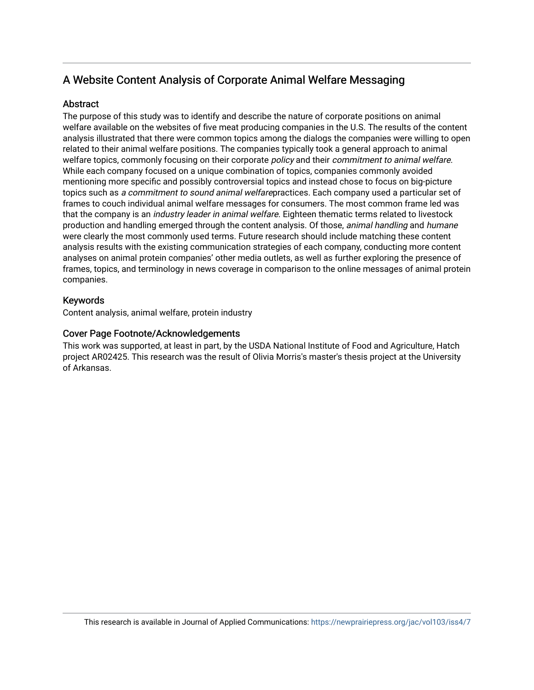# A Website Content Analysis of Corporate Animal Welfare Messaging

# **Abstract**

The purpose of this study was to identify and describe the nature of corporate positions on animal welfare available on the websites of five meat producing companies in the U.S. The results of the content analysis illustrated that there were common topics among the dialogs the companies were willing to open related to their animal welfare positions. The companies typically took a general approach to animal welfare topics, commonly focusing on their corporate *policy* and their *commitment to animal welfare*. While each company focused on a unique combination of topics, companies commonly avoided mentioning more specific and possibly controversial topics and instead chose to focus on big-picture topics such as a commitment to sound animal welfarepractices. Each company used a particular set of frames to couch individual animal welfare messages for consumers. The most common frame led was that the company is an *industry leader in animal welfare*. Eighteen thematic terms related to livestock production and handling emerged through the content analysis. Of those, animal handling and humane were clearly the most commonly used terms. Future research should include matching these content analysis results with the existing communication strategies of each company, conducting more content analyses on animal protein companies' other media outlets, as well as further exploring the presence of frames, topics, and terminology in news coverage in comparison to the online messages of animal protein companies.

# Keywords

Content analysis, animal welfare, protein industry

# Cover Page Footnote/Acknowledgements

This work was supported, at least in part, by the USDA National Institute of Food and Agriculture, Hatch project AR02425. This research was the result of Olivia Morris's master's thesis project at the University of Arkansas.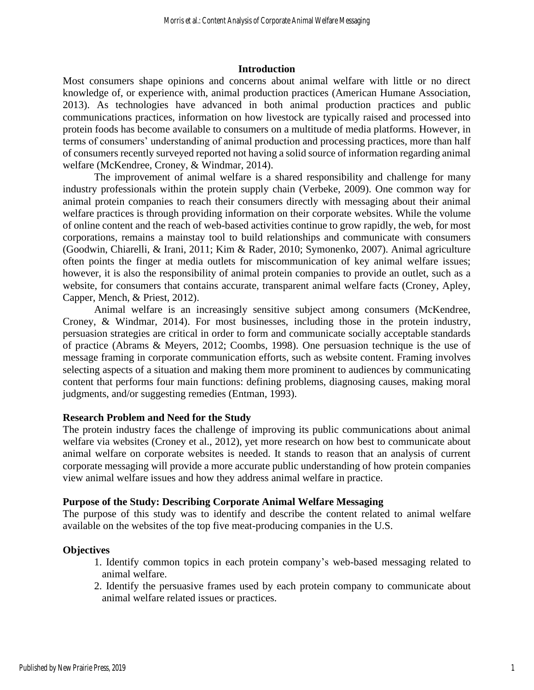#### **Introduction**

Most consumers shape opinions and concerns about animal welfare with little or no direct knowledge of, or experience with, animal production practices (American Humane Association, 2013). As technologies have advanced in both animal production practices and public communications practices, information on how livestock are typically raised and processed into protein foods has become available to consumers on a multitude of media platforms. However, in terms of consumers' understanding of animal production and processing practices, more than half of consumers recently surveyed reported not having a solid source of information regarding animal welfare (McKendree, Croney, & Windmar, 2014).

The improvement of animal welfare is a shared responsibility and challenge for many industry professionals within the protein supply chain (Verbeke, 2009). One common way for animal protein companies to reach their consumers directly with messaging about their animal welfare practices is through providing information on their corporate websites. While the volume of online content and the reach of web-based activities continue to grow rapidly, the web, for most corporations, remains a mainstay tool to build relationships and communicate with consumers (Goodwin, Chiarelli, & Irani, 2011; Kim & Rader, 2010; Symonenko, 2007). Animal agriculture often points the finger at media outlets for miscommunication of key animal welfare issues; however, it is also the responsibility of animal protein companies to provide an outlet, such as a website, for consumers that contains accurate, transparent animal welfare facts (Croney, Apley, Capper, Mench, & Priest, 2012).

Animal welfare is an increasingly sensitive subject among consumers (McKendree, Croney, & Windmar, 2014). For most businesses, including those in the protein industry, persuasion strategies are critical in order to form and communicate socially acceptable standards of practice (Abrams & Meyers, 2012; Coombs, 1998). One persuasion technique is the use of message framing in corporate communication efforts, such as website content. Framing involves selecting aspects of a situation and making them more prominent to audiences by communicating content that performs four main functions: defining problems, diagnosing causes, making moral judgments, and/or suggesting remedies (Entman, 1993).

#### **Research Problem and Need for the Study**

The protein industry faces the challenge of improving its public communications about animal welfare via websites (Croney et al., 2012), yet more research on how best to communicate about animal welfare on corporate websites is needed. It stands to reason that an analysis of current corporate messaging will provide a more accurate public understanding of how protein companies view animal welfare issues and how they address animal welfare in practice.

#### **Purpose of the Study: Describing Corporate Animal Welfare Messaging**

The purpose of this study was to identify and describe the content related to animal welfare available on the websites of the top five meat-producing companies in the U.S.

#### **Objectives**

- 1. Identify common topics in each protein company's web-based messaging related to animal welfare.
- 2. Identify the persuasive frames used by each protein company to communicate about animal welfare related issues or practices.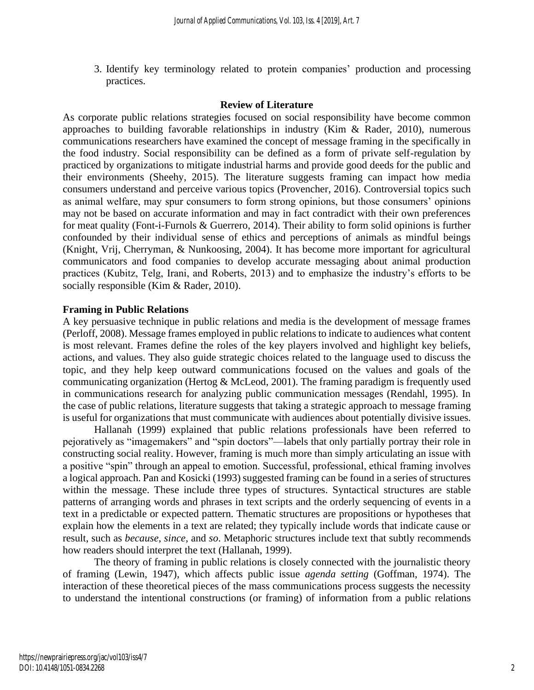3. Identify key terminology related to protein companies' production and processing practices.

# **Review of Literature**

As corporate public relations strategies focused on social responsibility have become common approaches to building favorable relationships in industry (Kim & Rader, 2010), numerous communications researchers have examined the concept of message framing in the specifically in the food industry. Social responsibility can be defined as a form of private self-regulation by practiced by organizations to mitigate industrial harms and provide good deeds for the public and their environments (Sheehy, 2015). The literature suggests framing can impact how media consumers understand and perceive various topics (Provencher, 2016). Controversial topics such as animal welfare, may spur consumers to form strong opinions, but those consumers' opinions may not be based on accurate information and may in fact contradict with their own preferences for meat quality (Font-i-Furnols & Guerrero, 2014). Their ability to form solid opinions is further confounded by their individual sense of ethics and perceptions of animals as mindful beings (Knight, Vrij, Cherryman, & Nunkoosing, 2004). It has become more important for agricultural communicators and food companies to develop accurate messaging about animal production practices (Kubitz, Telg, Irani, and Roberts, 2013) and to emphasize the industry's efforts to be socially responsible (Kim & Rader, 2010).

# **Framing in Public Relations**

A key persuasive technique in public relations and media is the development of message frames (Perloff, 2008). Message frames employed in public relations to indicate to audiences what content is most relevant. Frames define the roles of the key players involved and highlight key beliefs, actions, and values. They also guide strategic choices related to the language used to discuss the topic, and they help keep outward communications focused on the values and goals of the communicating organization (Hertog & McLeod, 2001). The framing paradigm is frequently used in communications research for analyzing public communication messages (Rendahl, 1995). In the case of public relations, literature suggests that taking a strategic approach to message framing is useful for organizations that must communicate with audiences about potentially divisive issues.

Hallanah (1999) explained that public relations professionals have been referred to pejoratively as "imagemakers" and "spin doctors"—labels that only partially portray their role in constructing social reality. However, framing is much more than simply articulating an issue with a positive "spin" through an appeal to emotion. Successful, professional, ethical framing involves a logical approach. Pan and Kosicki (1993) suggested framing can be found in a series of structures within the message. These include three types of structures. Syntactical structures are stable patterns of arranging words and phrases in text scripts and the orderly sequencing of events in a text in a predictable or expected pattern. Thematic structures are propositions or hypotheses that explain how the elements in a text are related; they typically include words that indicate cause or result, such as *because*, *since*, and *so*. Metaphoric structures include text that subtly recommends how readers should interpret the text (Hallanah, 1999).

The theory of framing in public relations is closely connected with the journalistic theory of framing (Lewin, 1947), which affects public issue *agenda setting* (Goffman, 1974). The interaction of these theoretical pieces of the mass communications process suggests the necessity to understand the intentional constructions (or framing) of information from a public relations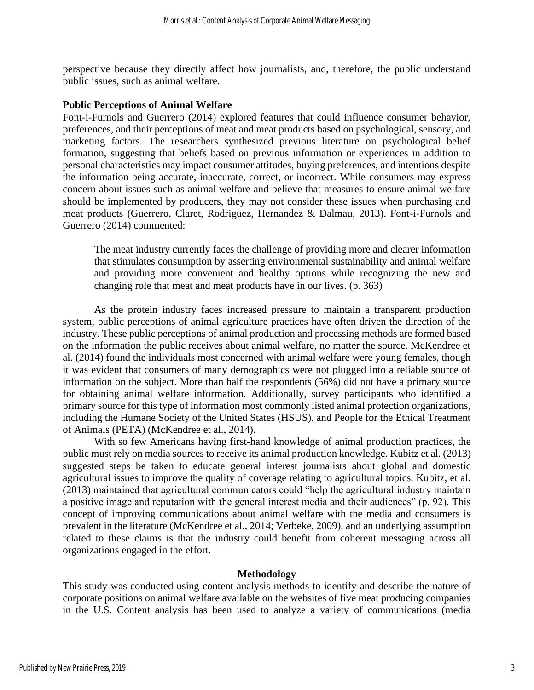perspective because they directly affect how journalists, and, therefore, the public understand public issues, such as animal welfare.

#### **Public Perceptions of Animal Welfare**

Font-i-Furnols and Guerrero (2014) explored features that could influence consumer behavior, preferences, and their perceptions of meat and meat products based on psychological, sensory, and marketing factors. The researchers synthesized previous literature on psychological belief formation, suggesting that beliefs based on previous information or experiences in addition to personal characteristics may impact consumer attitudes, buying preferences, and intentions despite the information being accurate, inaccurate, correct, or incorrect. While consumers may express concern about issues such as animal welfare and believe that measures to ensure animal welfare should be implemented by producers, they may not consider these issues when purchasing and meat products (Guerrero, Claret, Rodriguez, Hernandez & Dalmau, 2013). Font-i-Furnols and Guerrero (2014) commented:

The meat industry currently faces the challenge of providing more and clearer information that stimulates consumption by asserting environmental sustainability and animal welfare and providing more convenient and healthy options while recognizing the new and changing role that meat and meat products have in our lives. (p. 363)

As the protein industry faces increased pressure to maintain a transparent production system, public perceptions of animal agriculture practices have often driven the direction of the industry. These public perceptions of animal production and processing methods are formed based on the information the public receives about animal welfare, no matter the source. McKendree et al. (2014) found the individuals most concerned with animal welfare were young females, though it was evident that consumers of many demographics were not plugged into a reliable source of information on the subject. More than half the respondents (56%) did not have a primary source for obtaining animal welfare information. Additionally, survey participants who identified a primary source for this type of information most commonly listed animal protection organizations, including the Humane Society of the United States (HSUS), and People for the Ethical Treatment of Animals (PETA) (McKendree et al., 2014).

With so few Americans having first-hand knowledge of animal production practices, the public must rely on media sources to receive its animal production knowledge. Kubitz et al. (2013) suggested steps be taken to educate general interest journalists about global and domestic agricultural issues to improve the quality of coverage relating to agricultural topics. Kubitz, et al. (2013) maintained that agricultural communicators could "help the agricultural industry maintain a positive image and reputation with the general interest media and their audiences" (p. 92). This concept of improving communications about animal welfare with the media and consumers is prevalent in the literature (McKendree et al., 2014; Verbeke, 2009), and an underlying assumption related to these claims is that the industry could benefit from coherent messaging across all organizations engaged in the effort.

#### **Methodology**

This study was conducted using content analysis methods to identify and describe the nature of corporate positions on animal welfare available on the websites of five meat producing companies in the U.S. Content analysis has been used to analyze a variety of communications (media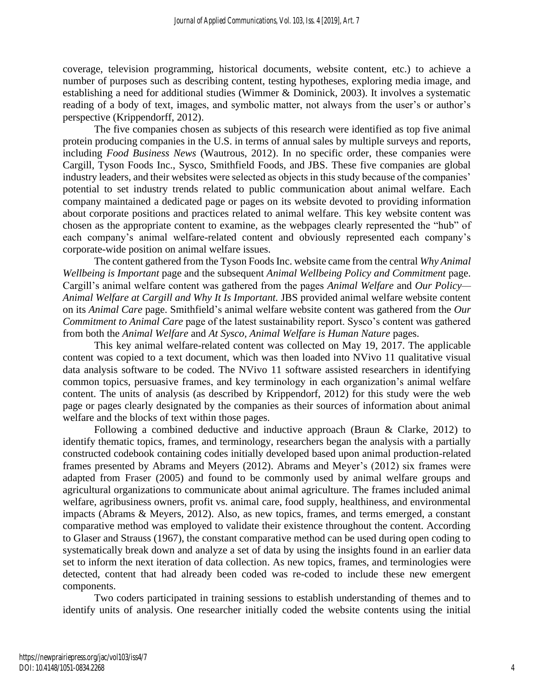coverage, television programming, historical documents, website content, etc.) to achieve a number of purposes such as describing content, testing hypotheses, exploring media image, and establishing a need for additional studies (Wimmer & Dominick, 2003). It involves a systematic reading of a body of text, images, and symbolic matter, not always from the user's or author's perspective (Krippendorff, 2012).

The five companies chosen as subjects of this research were identified as top five animal protein producing companies in the U.S. in terms of annual sales by multiple surveys and reports, including *Food Business News* (Wautrous, 2012). In no specific order, these companies were Cargill, Tyson Foods Inc., Sysco, Smithfield Foods, and JBS. These five companies are global industry leaders, and their websites were selected as objects in this study because of the companies' potential to set industry trends related to public communication about animal welfare. Each company maintained a dedicated page or pages on its website devoted to providing information about corporate positions and practices related to animal welfare. This key website content was chosen as the appropriate content to examine, as the webpages clearly represented the "hub" of each company's animal welfare-related content and obviously represented each company's corporate-wide position on animal welfare issues.

The content gathered from the Tyson Foods Inc. website came from the central *Why Animal Wellbeing is Important* page and the subsequent *Animal Wellbeing Policy and Commitment* page. Cargill's animal welfare content was gathered from the pages *Animal Welfare* and *Our Policy— Animal Welfare at Cargill and Why It Is Important.* JBS provided animal welfare website content on its *Animal Care* page. Smithfield's animal welfare website content was gathered from the *Our Commitment to Animal Care* page of the latest sustainability report. Sysco's content was gathered from both the *Animal Welfare* and *At Sysco, Animal Welfare is Human Nature* pages.

This key animal welfare-related content was collected on May 19, 2017. The applicable content was copied to a text document, which was then loaded into NVivo 11 qualitative visual data analysis software to be coded. The NVivo 11 software assisted researchers in identifying common topics, persuasive frames, and key terminology in each organization's animal welfare content. The units of analysis (as described by Krippendorf, 2012) for this study were the web page or pages clearly designated by the companies as their sources of information about animal welfare and the blocks of text within those pages.

Following a combined deductive and inductive approach (Braun & Clarke, 2012) to identify thematic topics, frames, and terminology, researchers began the analysis with a partially constructed codebook containing codes initially developed based upon animal production-related frames presented by Abrams and Meyers (2012). Abrams and Meyer's (2012) six frames were adapted from Fraser (2005) and found to be commonly used by animal welfare groups and agricultural organizations to communicate about animal agriculture. The frames included animal welfare, agribusiness owners, profit vs. animal care, food supply, healthiness, and environmental impacts (Abrams & Meyers, 2012). Also, as new topics, frames, and terms emerged, a constant comparative method was employed to validate their existence throughout the content. According to Glaser and Strauss (1967), the constant comparative method can be used during open coding to systematically break down and analyze a set of data by using the insights found in an earlier data set to inform the next iteration of data collection. As new topics, frames, and terminologies were detected, content that had already been coded was re-coded to include these new emergent components.

Two coders participated in training sessions to establish understanding of themes and to identify units of analysis. One researcher initially coded the website contents using the initial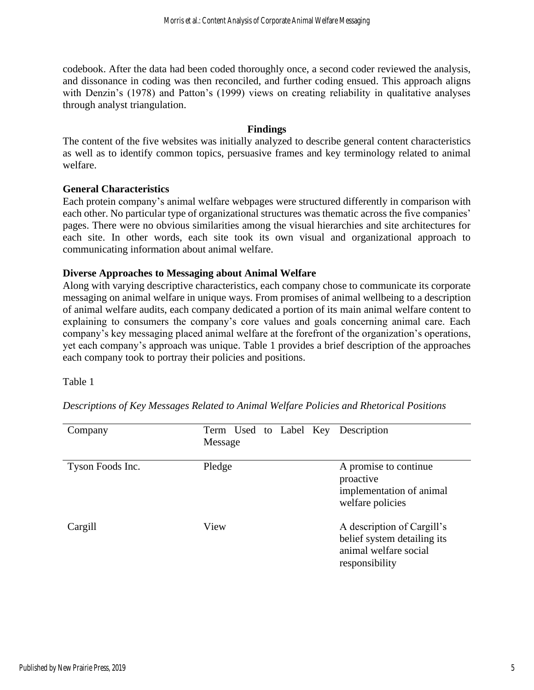codebook. After the data had been coded thoroughly once, a second coder reviewed the analysis, and dissonance in coding was then reconciled, and further coding ensued. This approach aligns with Denzin's (1978) and Patton's (1999) views on creating reliability in qualitative analyses through analyst triangulation.

#### **Findings**

The content of the five websites was initially analyzed to describe general content characteristics as well as to identify common topics, persuasive frames and key terminology related to animal welfare.

#### **General Characteristics**

Each protein company's animal welfare webpages were structured differently in comparison with each other. No particular type of organizational structures was thematic across the five companies' pages. There were no obvious similarities among the visual hierarchies and site architectures for each site. In other words, each site took its own visual and organizational approach to communicating information about animal welfare.

# **Diverse Approaches to Messaging about Animal Welfare**

Along with varying descriptive characteristics, each company chose to communicate its corporate messaging on animal welfare in unique ways. From promises of animal wellbeing to a description of animal welfare audits, each company dedicated a portion of its main animal welfare content to explaining to consumers the company's core values and goals concerning animal care. Each company's key messaging placed animal welfare at the forefront of the organization's operations, yet each company's approach was unique. Table 1 provides a brief description of the approaches each company took to portray their policies and positions.

Table 1

Company Term Used to Label Key Description Message Tyson Foods Inc. Pledge A promise to continue proactive implementation of animal welfare policies Cargill View View A description of Cargill's belief system detailing its animal welfare social responsibility

*Descriptions of Key Messages Related to Animal Welfare Policies and Rhetorical Positions*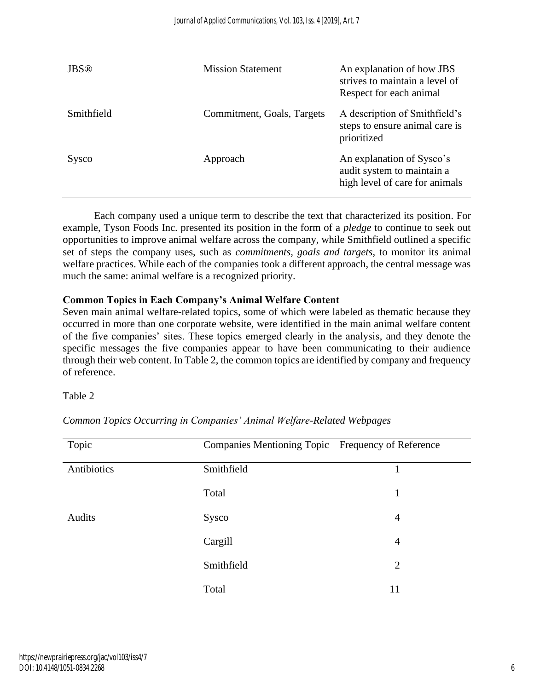| <b>JBS®</b> | <b>Mission Statement</b>   | An explanation of how JBS<br>strives to maintain a level of<br>Respect for each animal    |
|-------------|----------------------------|-------------------------------------------------------------------------------------------|
| Smithfield  | Commitment, Goals, Targets | A description of Smithfield's<br>steps to ensure animal care is<br>prioritized            |
| Sysco       | Approach                   | An explanation of Sysco's<br>audit system to maintain a<br>high level of care for animals |

Each company used a unique term to describe the text that characterized its position. For example, Tyson Foods Inc. presented its position in the form of a *pledge* to continue to seek out opportunities to improve animal welfare across the company, while Smithfield outlined a specific set of steps the company uses, such as *commitments, goals and targets*, to monitor its animal welfare practices. While each of the companies took a different approach, the central message was much the same: animal welfare is a recognized priority.

# **Common Topics in Each Company's Animal Welfare Content**

Seven main animal welfare-related topics, some of which were labeled as thematic because they occurred in more than one corporate website, were identified in the main animal welfare content of the five companies' sites. These topics emerged clearly in the analysis, and they denote the specific messages the five companies appear to have been communicating to their audience through their web content. In Table 2, the common topics are identified by company and frequency of reference.

#### Table 2

| Topic       | Companies Mentioning Topic Frequency of Reference |                |
|-------------|---------------------------------------------------|----------------|
| Antibiotics | Smithfield                                        |                |
|             | Total                                             | 1              |
| Audits      | Sysco                                             | $\overline{4}$ |
|             | Cargill                                           | $\overline{4}$ |
|             | Smithfield                                        | $\overline{2}$ |
|             | Total                                             | 11             |

*Common Topics Occurring in Companies' Animal Welfare-Related Webpages*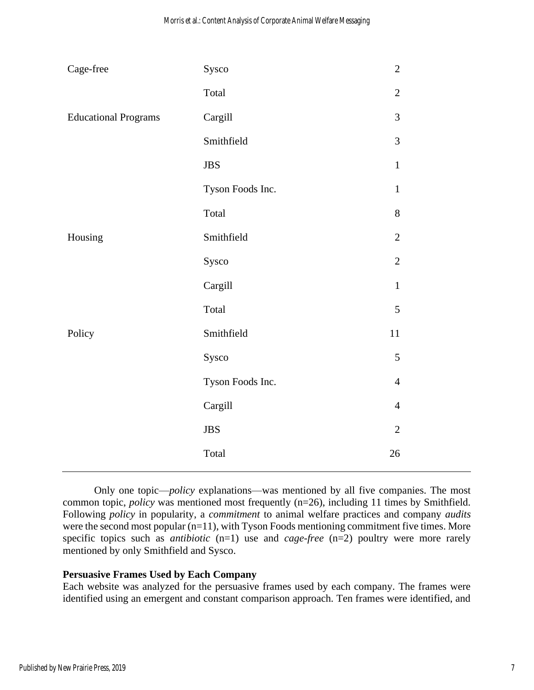| Cage-free                   | Sysco            | $\sqrt{2}$     |  |
|-----------------------------|------------------|----------------|--|
|                             | Total            | $\overline{2}$ |  |
| <b>Educational Programs</b> | Cargill          | 3              |  |
|                             | Smithfield       | 3              |  |
|                             | <b>JBS</b>       | $\mathbf{1}$   |  |
|                             | Tyson Foods Inc. | $\mathbf{1}$   |  |
|                             | Total            | 8              |  |
| Housing                     | Smithfield       | $\sqrt{2}$     |  |
|                             | Sysco            | $\sqrt{2}$     |  |
|                             | Cargill          | $\mathbf{1}$   |  |
|                             | Total            | 5              |  |
| Policy                      | Smithfield       | 11             |  |
|                             | Sysco            | $\sqrt{5}$     |  |
|                             | Tyson Foods Inc. | $\overline{4}$ |  |
|                             | Cargill          | $\overline{4}$ |  |
|                             | $\rm JBS$        | $\overline{2}$ |  |
|                             | Total            | 26             |  |

Only one topic—*policy* explanations—was mentioned by all five companies. The most common topic, *policy* was mentioned most frequently (n=26), including 11 times by Smithfield. Following *policy* in popularity, a *commitment* to animal welfare practices and company *audits*  were the second most popular (n=11), with Tyson Foods mentioning commitment five times. More specific topics such as *antibiotic* (n=1) use and *cage-free* (n=2) poultry were more rarely mentioned by only Smithfield and Sysco.

#### **Persuasive Frames Used by Each Company**

Each website was analyzed for the persuasive frames used by each company. The frames were identified using an emergent and constant comparison approach. Ten frames were identified, and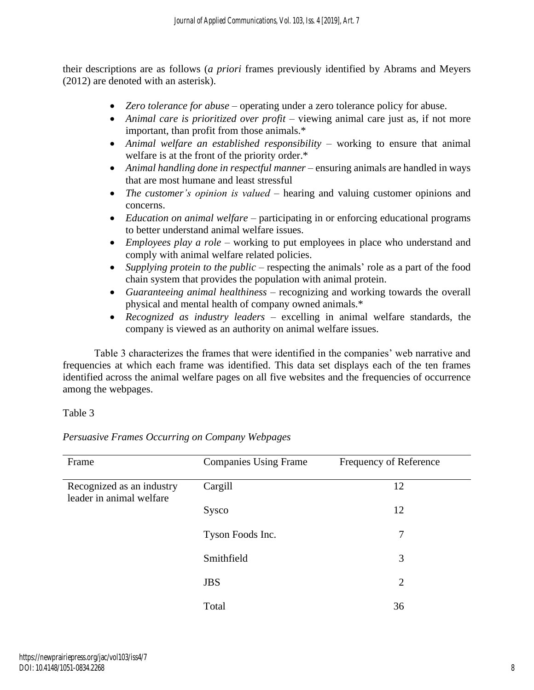their descriptions are as follows (*a priori* frames previously identified by Abrams and Meyers (2012) are denoted with an asterisk).

- *Zero tolerance for abuse* operating under a zero tolerance policy for abuse.
- *Animal care is prioritized over profit* viewing animal care just as, if not more important, than profit from those animals.\*
- *Animal welfare an established responsibility* working to ensure that animal welfare is at the front of the priority order.\*
- *Animal handling done in respectful manner* ensuring animals are handled in ways that are most humane and least stressful
- *The customer's opinion is valued* hearing and valuing customer opinions and concerns.
- *Education on animal welfare* participating in or enforcing educational programs to better understand animal welfare issues.
- *Employees play a role* working to put employees in place who understand and comply with animal welfare related policies.
- *Supplying protein to the public* respecting the animals' role as a part of the food chain system that provides the population with animal protein.
- *Guaranteeing animal healthiness* recognizing and working towards the overall physical and mental health of company owned animals.\*
- *Recognized as industry leaders* excelling in animal welfare standards, the company is viewed as an authority on animal welfare issues.

Table 3 characterizes the frames that were identified in the companies' web narrative and frequencies at which each frame was identified. This data set displays each of the ten frames identified across the animal welfare pages on all five websites and the frequencies of occurrence among the webpages.

# Table 3

*Persuasive Frames Occurring on Company Webpages*

| Frame                                                 | <b>Companies Using Frame</b> | Frequency of Reference |
|-------------------------------------------------------|------------------------------|------------------------|
| Recognized as an industry<br>leader in animal welfare | Cargill                      | 12                     |
|                                                       | Sysco                        | 12                     |
|                                                       | Tyson Foods Inc.             | 7                      |
|                                                       | Smithfield                   | 3                      |
|                                                       | <b>JBS</b>                   | $\overline{2}$         |
|                                                       | Total                        | 36                     |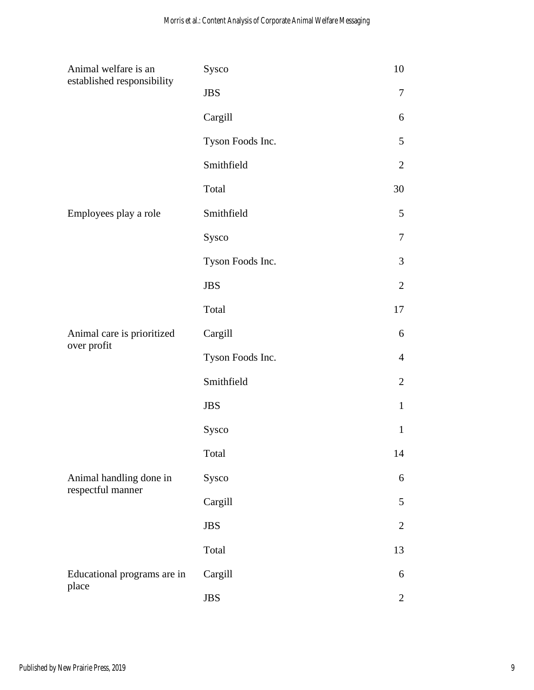| Animal welfare is an<br>established responsibility | Sysco            | 10             |
|----------------------------------------------------|------------------|----------------|
|                                                    | <b>JBS</b>       | 7              |
|                                                    | Cargill          | 6              |
|                                                    | Tyson Foods Inc. | 5              |
|                                                    | Smithfield       | $\overline{2}$ |
|                                                    | Total            | 30             |
| Employees play a role                              | Smithfield       | 5              |
|                                                    | Sysco            | 7              |
|                                                    | Tyson Foods Inc. | 3              |
|                                                    | <b>JBS</b>       | $\overline{2}$ |
|                                                    | Total            | 17             |
| Animal care is prioritized                         | Cargill          | 6              |
| over profit                                        | Tyson Foods Inc. | $\overline{4}$ |
|                                                    | Smithfield       | $\overline{2}$ |
|                                                    | <b>JBS</b>       | $\mathbf{1}$   |
|                                                    | Sysco            | $\mathbf{1}$   |
|                                                    | Total            | 14             |
| Animal handling done in                            | Sysco            | 6              |
| respectful manner                                  | Cargill          | 5              |
|                                                    | <b>JBS</b>       | $\overline{2}$ |
|                                                    | Total            | 13             |
| Educational programs are in                        | Cargill          | 6              |
| place                                              | <b>JBS</b>       | $\overline{2}$ |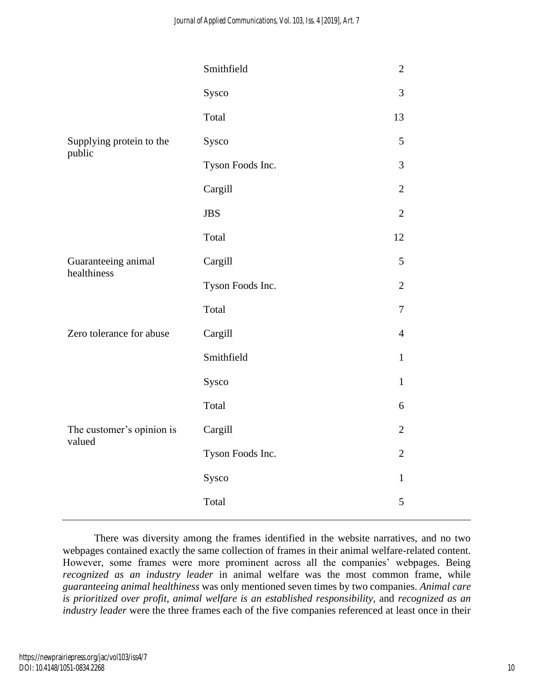|                                     | Smithfield       | $\mathbf{2}$   |
|-------------------------------------|------------------|----------------|
|                                     | Sysco            | 3              |
|                                     | Total            | 13             |
| Supplying protein to the<br>public  | Sysco            | 5              |
|                                     | Tyson Foods Inc. | 3              |
|                                     | Cargill          | $\mathbf{2}$   |
|                                     | <b>JBS</b>       | $\overline{2}$ |
|                                     | Total            | 12             |
| Guaranteeing animal<br>healthiness  | Cargill          | 5              |
|                                     | Tyson Foods Inc. | $\overline{2}$ |
|                                     | Total            | $\tau$         |
| Zero tolerance for abuse            | Cargill          | $\overline{4}$ |
|                                     | Smithfield       | $\mathbf{1}$   |
|                                     | Sysco            | $\mathbf{1}$   |
|                                     | Total            | 6              |
| The customer's opinion is<br>valued | Cargill          | $\overline{2}$ |
|                                     | Tyson Foods Inc. | $\overline{2}$ |
|                                     | Sysco            | $\mathbf{1}$   |
|                                     | Total            | 5              |

There was diversity among the frames identified in the website narratives, and no two webpages contained exactly the same collection of frames in their animal welfare-related content. However, some frames were more prominent across all the companies' webpages. Being *recognized as an industry leader* in animal welfare was the most common frame, while *guaranteeing animal healthiness* was only mentioned seven times by two companies. *Animal care is prioritized over profit, animal welfare is an established responsibility,* and *recognized as an industry leader* were the three frames each of the five companies referenced at least once in their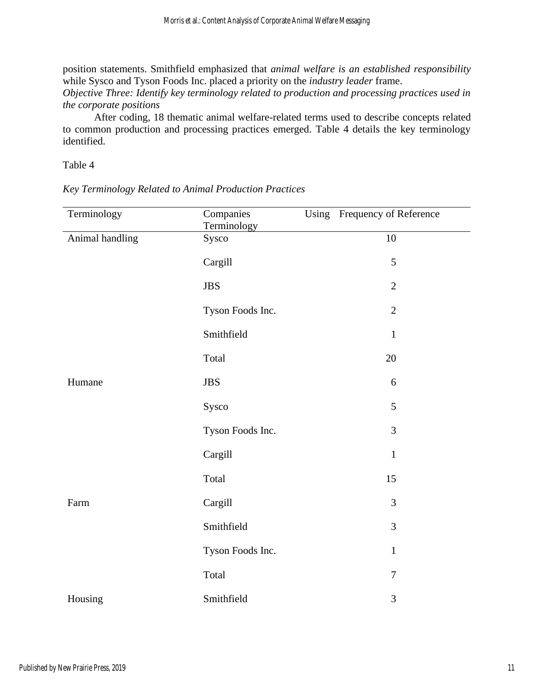position statements. Smithfield emphasized that *animal welfare is an established responsibility* while Sysco and Tyson Foods Inc. placed a priority on the *industry leader* frame.

*Objective Three: Identify key terminology related to production and processing practices used in the corporate positions*

After coding, 18 thematic animal welfare-related terms used to describe concepts related to common production and processing practices emerged. Table 4 details the key terminology identified.

Table 4

*Key Terminology Related to Animal Production Practices*

| Terminology     | Companies<br>Terminology | Using Frequency of Reference |
|-----------------|--------------------------|------------------------------|
| Animal handling | Sysco                    | 10                           |
|                 | Cargill                  | 5                            |
|                 | <b>JBS</b>               | $\overline{2}$               |
|                 | Tyson Foods Inc.         | $\overline{2}$               |
|                 | Smithfield               | $\mathbf 1$                  |
|                 | Total                    | 20                           |
| Humane          | <b>JBS</b>               | 6                            |
|                 | Sysco                    | 5                            |
|                 | Tyson Foods Inc.         | 3                            |
|                 | Cargill                  | $\mathbf 1$                  |
|                 | Total                    | 15                           |
| Farm            | Cargill                  | 3                            |
|                 | Smithfield               | 3                            |
|                 | Tyson Foods Inc.         | $\,1\,$                      |
|                 | Total                    | $\overline{7}$               |
| Housing         | Smithfield               | 3                            |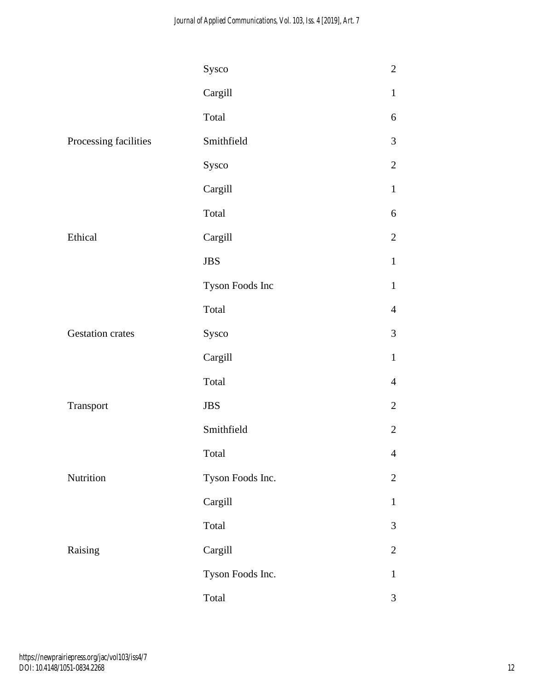|                         | Sysco            | $\sqrt{2}$     |
|-------------------------|------------------|----------------|
|                         | Cargill          | $\mathbf{1}$   |
|                         | Total            | 6              |
| Processing facilities   | Smithfield       | 3              |
|                         | Sysco            | $\mathbf{2}$   |
|                         | Cargill          | $\mathbf{1}$   |
|                         | Total            | 6              |
| Ethical                 | Cargill          | $\mathbf{2}$   |
|                         | $\rm JBS$        | $\mathbf{1}$   |
|                         | Tyson Foods Inc  | $\mathbf{1}$   |
|                         | Total            | $\overline{4}$ |
| <b>Gestation crates</b> | Sysco            | 3              |
|                         | Cargill          | $\mathbf{1}$   |
|                         | Total            | $\overline{4}$ |
| Transport               | <b>JBS</b>       | $\overline{2}$ |
|                         | Smithfield       | $\mathbf{2}$   |
|                         | Total            | $\overline{4}$ |
| Nutrition               | Tyson Foods Inc. | $\overline{2}$ |
|                         | Cargill          | $\mathbf{1}$   |
|                         | Total            | 3              |
| Raising                 | Cargill          | $\overline{2}$ |
|                         | Tyson Foods Inc. | $\mathbf{1}$   |
|                         | Total            | 3              |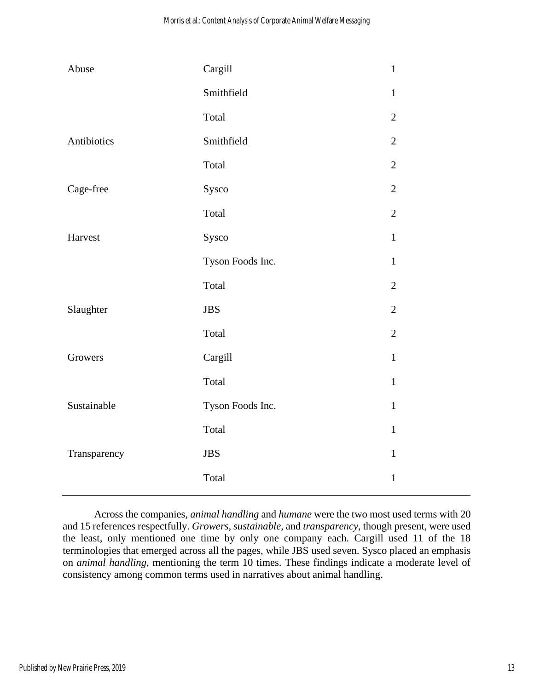| Abuse        | Cargill          | $\mathbf{1}$   |
|--------------|------------------|----------------|
|              | Smithfield       | $\mathbf{1}$   |
|              | Total            | $\overline{2}$ |
| Antibiotics  | Smithfield       | $\overline{2}$ |
|              | Total            | $\mathbf{2}$   |
| Cage-free    | Sysco            | $\overline{2}$ |
|              | Total            | $\mathbf{2}$   |
| Harvest      | Sysco            | $\mathbf{1}$   |
|              | Tyson Foods Inc. | $\mathbf{1}$   |
|              | Total            | $\overline{2}$ |
| Slaughter    | <b>JBS</b>       | $\overline{2}$ |
|              | Total            | $\overline{2}$ |
| Growers      | Cargill          | $\mathbf{1}$   |
|              | Total            | $\mathbf{1}$   |
| Sustainable  | Tyson Foods Inc. | $\mathbf{1}$   |
|              | Total            | $\mathbf{1}$   |
| Transparency | <b>JBS</b>       | $\mathbf{1}$   |
|              | Total            | $\mathbf{1}$   |

Across the companies, *animal handling* and *humane* were the two most used terms with 20 and 15 references respectfully. *Growers, sustainable,* and *transparency,* though present, were used the least, only mentioned one time by only one company each. Cargill used 11 of the 18 terminologies that emerged across all the pages, while JBS used seven. Sysco placed an emphasis on *animal handling*, mentioning the term 10 times. These findings indicate a moderate level of consistency among common terms used in narratives about animal handling.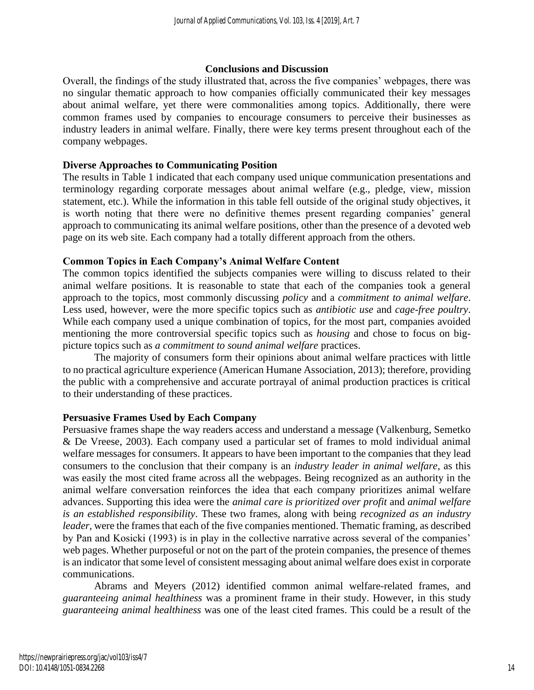#### **Conclusions and Discussion**

Overall, the findings of the study illustrated that, across the five companies' webpages, there was no singular thematic approach to how companies officially communicated their key messages about animal welfare, yet there were commonalities among topics. Additionally, there were common frames used by companies to encourage consumers to perceive their businesses as industry leaders in animal welfare. Finally, there were key terms present throughout each of the company webpages.

# **Diverse Approaches to Communicating Position**

The results in Table 1 indicated that each company used unique communication presentations and terminology regarding corporate messages about animal welfare (e.g., pledge, view, mission statement, etc.). While the information in this table fell outside of the original study objectives, it is worth noting that there were no definitive themes present regarding companies' general approach to communicating its animal welfare positions, other than the presence of a devoted web page on its web site. Each company had a totally different approach from the others.

# **Common Topics in Each Company's Animal Welfare Content**

The common topics identified the subjects companies were willing to discuss related to their animal welfare positions. It is reasonable to state that each of the companies took a general approach to the topics, most commonly discussing *policy* and a *commitment to animal welfare*. Less used, however, were the more specific topics such as *antibiotic use* and *cage-free poultry*. While each company used a unique combination of topics, for the most part, companies avoided mentioning the more controversial specific topics such as *housing* and chose to focus on bigpicture topics such as *a commitment to sound animal welfare* practices.

The majority of consumers form their opinions about animal welfare practices with little to no practical agriculture experience (American Humane Association, 2013); therefore, providing the public with a comprehensive and accurate portrayal of animal production practices is critical to their understanding of these practices.

#### **Persuasive Frames Used by Each Company**

Persuasive frames shape the way readers access and understand a message (Valkenburg, Semetko & De Vreese, 2003). Each company used a particular set of frames to mold individual animal welfare messages for consumers. It appears to have been important to the companies that they lead consumers to the conclusion that their company is an *industry leader in animal welfare*, as this was easily the most cited frame across all the webpages. Being recognized as an authority in the animal welfare conversation reinforces the idea that each company prioritizes animal welfare advances. Supporting this idea were the *animal care is prioritized over profit* and *animal welfare is an established responsibility*. These two frames, along with being *recognized as an industry leader,* were the frames that each of the five companies mentioned. Thematic framing, as described by Pan and Kosicki (1993) is in play in the collective narrative across several of the companies' web pages. Whether purposeful or not on the part of the protein companies, the presence of themes is an indicator that some level of consistent messaging about animal welfare does exist in corporate communications.

Abrams and Meyers (2012) identified common animal welfare-related frames, and *guaranteeing animal healthiness* was a prominent frame in their study. However, in this study *guaranteeing animal healthiness* was one of the least cited frames. This could be a result of the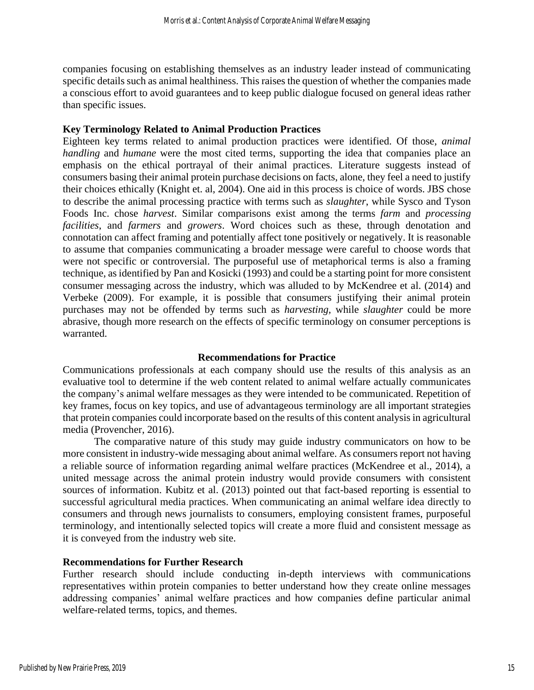companies focusing on establishing themselves as an industry leader instead of communicating specific details such as animal healthiness. This raises the question of whether the companies made a conscious effort to avoid guarantees and to keep public dialogue focused on general ideas rather than specific issues.

#### **Key Terminology Related to Animal Production Practices**

Eighteen key terms related to animal production practices were identified. Of those, *animal handling* and *humane* were the most cited terms, supporting the idea that companies place an emphasis on the ethical portrayal of their animal practices. Literature suggests instead of consumers basing their animal protein purchase decisions on facts, alone, they feel a need to justify their choices ethically (Knight et. al, 2004). One aid in this process is choice of words. JBS chose to describe the animal processing practice with terms such as *slaughter*, while Sysco and Tyson Foods Inc. chose *harvest*. Similar comparisons exist among the terms *farm* and *processing facilities*, and *farmers* and *growers*. Word choices such as these, through denotation and connotation can affect framing and potentially affect tone positively or negatively. It is reasonable to assume that companies communicating a broader message were careful to choose words that were not specific or controversial. The purposeful use of metaphorical terms is also a framing technique, as identified by Pan and Kosicki (1993) and could be a starting point for more consistent consumer messaging across the industry, which was alluded to by McKendree et al. (2014) and Verbeke (2009). For example, it is possible that consumers justifying their animal protein purchases may not be offended by terms such as *harvesting,* while *slaughter* could be more abrasive, though more research on the effects of specific terminology on consumer perceptions is warranted.

#### **Recommendations for Practice**

Communications professionals at each company should use the results of this analysis as an evaluative tool to determine if the web content related to animal welfare actually communicates the company's animal welfare messages as they were intended to be communicated. Repetition of key frames, focus on key topics, and use of advantageous terminology are all important strategies that protein companies could incorporate based on the results of this content analysis in agricultural media (Provencher, 2016).

The comparative nature of this study may guide industry communicators on how to be more consistent in industry-wide messaging about animal welfare. As consumers report not having a reliable source of information regarding animal welfare practices (McKendree et al., 2014), a united message across the animal protein industry would provide consumers with consistent sources of information. Kubitz et al. (2013) pointed out that fact-based reporting is essential to successful agricultural media practices. When communicating an animal welfare idea directly to consumers and through news journalists to consumers, employing consistent frames, purposeful terminology, and intentionally selected topics will create a more fluid and consistent message as it is conveyed from the industry web site.

#### **Recommendations for Further Research**

Further research should include conducting in-depth interviews with communications representatives within protein companies to better understand how they create online messages addressing companies' animal welfare practices and how companies define particular animal welfare-related terms, topics, and themes.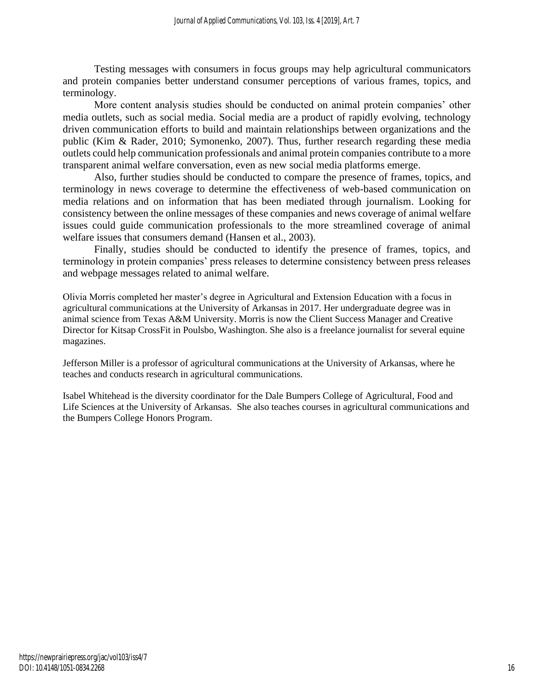Testing messages with consumers in focus groups may help agricultural communicators and protein companies better understand consumer perceptions of various frames, topics, and terminology.

More content analysis studies should be conducted on animal protein companies' other media outlets, such as social media. Social media are a product of rapidly evolving, technology driven communication efforts to build and maintain relationships between organizations and the public (Kim & Rader, 2010; Symonenko, 2007). Thus, further research regarding these media outlets could help communication professionals and animal protein companies contribute to a more transparent animal welfare conversation, even as new social media platforms emerge.

Also, further studies should be conducted to compare the presence of frames, topics, and terminology in news coverage to determine the effectiveness of web-based communication on media relations and on information that has been mediated through journalism. Looking for consistency between the online messages of these companies and news coverage of animal welfare issues could guide communication professionals to the more streamlined coverage of animal welfare issues that consumers demand (Hansen et al., 2003).

Finally, studies should be conducted to identify the presence of frames, topics, and terminology in protein companies' press releases to determine consistency between press releases and webpage messages related to animal welfare.

Olivia Morris completed her master's degree in Agricultural and Extension Education with a focus in agricultural communications at the University of Arkansas in 2017. Her undergraduate degree was in animal science from Texas A&M University. Morris is now the Client Success Manager and Creative Director for Kitsap CrossFit in Poulsbo, Washington. She also is a freelance journalist for several equine magazines.

Jefferson Miller is a professor of agricultural communications at the University of Arkansas, where he teaches and conducts research in agricultural communications.

Isabel Whitehead is the diversity coordinator for the Dale Bumpers College of Agricultural, Food and Life Sciences at the University of Arkansas. She also teaches courses in agricultural communications and the Bumpers College Honors Program.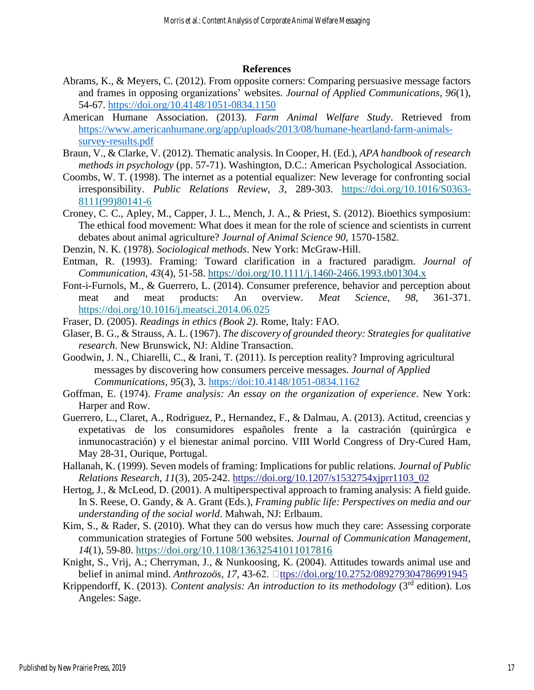#### **References**

- Abrams, K., & Meyers, C. (2012). From opposite corners: Comparing persuasive message factors and frames in opposing organizations' websites. *Journal of Applied Communications, 96*(1), 54-67.<https://doi.org/10.4148/1051-0834.1150>
- American Humane Association. (2013). *Farm Animal Welfare Study*. Retrieved from [https://www.americanhumane.org/app/uploads/2013/08/humane-heartland-farm-animals](https://www.americanhumane.org/app/uploads/2013/08/humane-heartland-farm-animals-survey-results.pdf)[survey-results.pdf](https://www.americanhumane.org/app/uploads/2013/08/humane-heartland-farm-animals-survey-results.pdf)
- Braun, V., & Clarke, V. (2012). Thematic analysis. In Cooper, H. (Ed.), *APA handbook of research methods in psychology* (pp. 57-71). Washington, D.C.: American Psychological Association.
- Coombs, W. T. (1998). The internet as a potential equalizer: New leverage for confronting social irresponsibility. *Public Relations Review, 3*, 289-303. [https://doi.org/10.1016/S0363-](https://doi.org/10.1016/S0363-8111(99)80141-6) [8111\(99\)80141-6](https://doi.org/10.1016/S0363-8111(99)80141-6)
- Croney, C. C., Apley, M., Capper, J. L., Mench, J. A., & Priest, S. (2012). Bioethics symposium: The ethical food movement: What does it mean for the role of science and scientists in current debates about animal agriculture? *Journal of Animal Science 90,* 1570-1582.
- Denzin, N. K. (1978). *Sociological methods*. New York: McGraw-Hill.
- Entman, R. (1993). Framing: Toward clarification in a fractured paradigm. *Journal of Communication, 43*(4), 51-58.<https://doi.org/10.1111/j.1460-2466.1993.tb01304.x>
- Font-i-Furnols, M., & Guerrero, L. (2014). Consumer preference, behavior and perception about meat and meat products: An overview. *Meat Science*, *98*, 361-371. <https://doi.org/10.1016/j.meatsci.2014.06.025>
- Fraser, D. (2005). *Readings in ethics (Book 2)*. Rome, Italy: FAO.
- Glaser, B. G., & Strauss, A. L. (1967). *The discovery of grounded theory: Strategies for qualitative research.* New Brunswick, NJ: Aldine Transaction.
- Goodwin, J. N., Chiarelli, C., & Irani, T. (2011). Is perception reality? Improving agricultural messages by discovering how consumers perceive messages. *Journal of Applied Communications*, *95*(3), 3. https://doi:10.4148/1051-0834.1162
- Goffman, E. (1974). *Frame analysis: An essay on the organization of experience*. New York: Harper and Row.
- Guerrero, L., Claret, A., Rodriguez, P., Hernandez, F., & Dalmau, A. (2013). Actitud, creencias y expetativas de los consumidores españoles frente a la castración (quirúrgica e inmunocastración) y el bienestar animal porcino. VIII World Congress of Dry-Cured Ham, May 28-31, Ourique, Portugal.
- Hallanah, K. (1999). Seven models of framing: Implications for public relations. *Journal of Public Relations Research, 11*(3), 205-242. [https://doi.org/10.1207/s1532754xjprr1103\\_02](https://doi.org/10.1207/s1532754xjprr1103_02)
- Hertog, J., & McLeod, D. (2001). A multiperspectival approach to framing analysis: A field guide. In S. Reese, O. Gandy, & A. Grant (Eds.), *Framing public life: Perspectives on media and our understanding of the social world*. Mahwah, NJ: Erlbaum.
- Kim, S., & Rader, S. (2010). What they can do versus how much they care: Assessing corporate communication strategies of Fortune 500 websites. *Journal of Communication Management, 14*(1), 59-80. <https://doi.org/10.1108/13632541011017816>
- Knight, S., Vrij, A.; Cherryman, J., & Nunkoosing, K. (2004). Attitudes towards animal use and belief in animal mind. *Anthrozoös, 17, 43-62*. □[ttps://doi.org/10.2752/089279304786991945](ttps://doi.org/10.2752/089279304786991945%22)
- Krippendorff, K. (2013). *Content analysis: An introduction to its methodology* (3rd edition). Los Angeles: Sage.